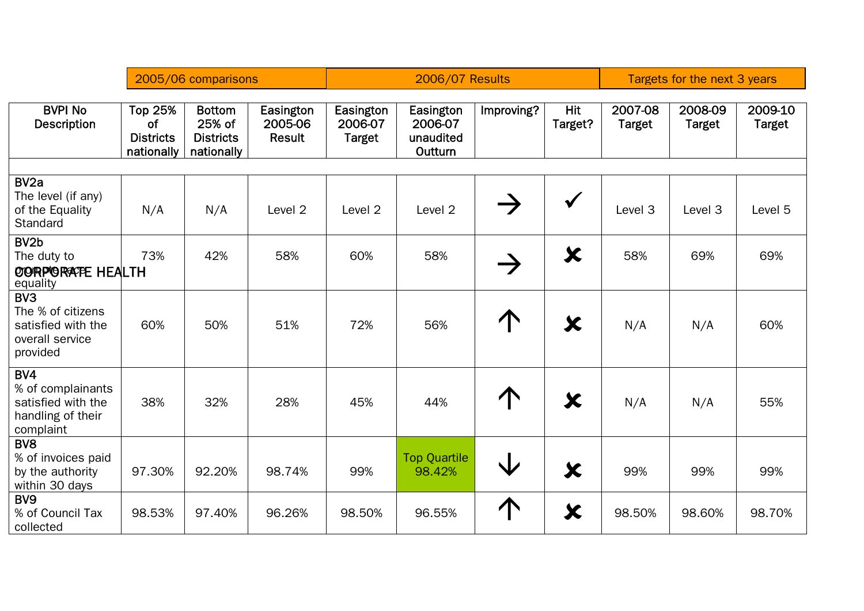|                                                                                           |                                                        | 2005/06 comparisons                                       |                                |                                       | <b>2006/07 Results</b>                       |               |                       |                    | Targets for the next 3 years |                          |  |
|-------------------------------------------------------------------------------------------|--------------------------------------------------------|-----------------------------------------------------------|--------------------------------|---------------------------------------|----------------------------------------------|---------------|-----------------------|--------------------|------------------------------|--------------------------|--|
| <b>BVPI No</b><br><b>Description</b>                                                      | <b>Top 25%</b><br>of<br><b>Districts</b><br>nationally | <b>Bottom</b><br>25% of<br><b>Districts</b><br>nationally | Easington<br>2005-06<br>Result | Easington<br>2006-07<br><b>Target</b> | Easington<br>2006-07<br>unaudited<br>Outturn | Improving?    | <b>Hit</b><br>Target? | 2007-08<br>Target  | 2008-09<br><b>Target</b>     | 2009-10<br><b>Target</b> |  |
|                                                                                           |                                                        |                                                           |                                |                                       |                                              |               |                       |                    |                              |                          |  |
| BV <sub>2a</sub><br>The level (if any)<br>of the Equality<br>Standard                     | N/A                                                    | N/A                                                       | Level 2                        | Level <sub>2</sub>                    | Level 2                                      | $\rightarrow$ | $\checkmark$          | Level <sub>3</sub> | Level 3                      | Level 5                  |  |
| BV <sub>2</sub> b<br>The duty to<br>OORPORATE HEALTH<br>equality                          | 73%                                                    | 42%                                                       | 58%                            | 60%                                   | 58%                                          | $\rightarrow$ | $\bm{x}$              | 58%                | 69%                          | 69%                      |  |
| BV <sub>3</sub><br>The % of citizens<br>satisfied with the<br>overall service<br>provided | 60%                                                    | 50%                                                       | 51%                            | 72%                                   | 56%                                          | $\uparrow$    | $\bm{\chi}$           | N/A                | N/A                          | 60%                      |  |
| BV4<br>% of complainants<br>satisfied with the<br>handling of their<br>complaint          | 38%                                                    | 32%                                                       | 28%                            | 45%                                   | 44%                                          | $\bigcap$     | X                     | N/A                | N/A                          | 55%                      |  |
| BV <sub>8</sub><br>% of invoices paid<br>by the authority<br>within 30 days               | 97.30%                                                 | 92.20%                                                    | 98.74%                         | 99%                                   | <b>Top Quartile</b><br>98.42%                | $\downarrow$  | $\bm{x}$              | 99%                | 99%                          | 99%                      |  |
| BV <sub>9</sub><br>% of Council Tax<br>collected                                          | 98.53%                                                 | 97.40%                                                    | 96.26%                         | 98.50%                                | 96.55%                                       | 个             | $\bm{\varkappa}$      | 98.50%             | 98.60%                       | 98.70%                   |  |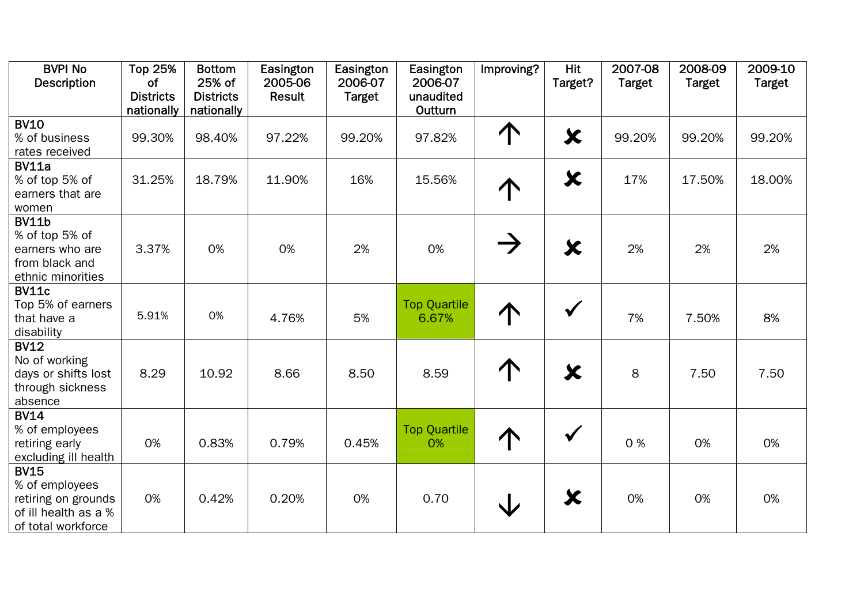| <b>BVPI No</b>                   | <b>Top 25%</b>                | <b>Bottom</b>              | Easington         | Easington                | Easington                    | Improving?    | <b>Hit</b>       | 2007-08       | 2008-09       | 2009-10       |
|----------------------------------|-------------------------------|----------------------------|-------------------|--------------------------|------------------------------|---------------|------------------|---------------|---------------|---------------|
| <b>Description</b>               | <b>of</b><br><b>Districts</b> | 25% of<br><b>Districts</b> | 2005-06<br>Result | 2006-07<br><b>Target</b> | 2006-07<br>unaudited         |               | Target?          | <b>Target</b> | <b>Target</b> | <b>Target</b> |
|                                  | nationally                    | nationally                 |                   |                          | Outturn                      |               |                  |               |               |               |
| <b>BV10</b>                      |                               |                            |                   |                          |                              |               |                  |               |               |               |
| % of business                    | 99.30%                        | 98.40%                     | 97.22%            | 99.20%                   | 97.82%                       | 个             | $\bm{x}$         | 99.20%        | 99.20%        | 99.20%        |
| rates received                   |                               |                            |                   |                          |                              |               |                  |               |               |               |
| <b>BV11a</b>                     |                               |                            |                   |                          |                              |               |                  |               |               |               |
| % of top 5% of                   | 31.25%                        | 18.79%                     | 11.90%            | 16%                      | 15.56%                       |               | $\bm{x}$         | 17%           | 17.50%        | 18.00%        |
| earners that are                 |                               |                            |                   |                          |                              |               |                  |               |               |               |
| women                            |                               |                            |                   |                          |                              |               |                  |               |               |               |
| <b>BV11b</b>                     |                               |                            |                   |                          |                              |               |                  |               |               |               |
| % of top 5% of                   |                               |                            |                   |                          |                              | $\rightarrow$ |                  |               |               |               |
| earners who are                  | 3.37%                         | 0%                         | 0%                | 2%                       | 0%                           |               | X                | 2%            | 2%            | 2%            |
| from black and                   |                               |                            |                   |                          |                              |               |                  |               |               |               |
| ethnic minorities                |                               |                            |                   |                          |                              |               |                  |               |               |               |
| <b>BV11c</b>                     |                               |                            |                   |                          |                              |               |                  |               |               |               |
| Top 5% of earners<br>that have a | 5.91%                         | 0%                         | 4.76%             | 5%                       | <b>Top Quartile</b><br>6.67% |               | $\checkmark$     | 7%            | 7.50%         | 8%            |
| disability                       |                               |                            |                   |                          |                              |               |                  |               |               |               |
| <b>BV12</b>                      |                               |                            |                   |                          |                              |               |                  |               |               |               |
| No of working                    |                               |                            |                   |                          |                              |               |                  |               |               |               |
| days or shifts lost              | 8.29                          | 10.92                      | 8.66              | 8.50                     | 8.59                         |               | $\bm{\varkappa}$ | 8             | 7.50          | 7.50          |
| through sickness                 |                               |                            |                   |                          |                              |               |                  |               |               |               |
| absence                          |                               |                            |                   |                          |                              |               |                  |               |               |               |
| <b>BV14</b>                      |                               |                            |                   |                          |                              |               |                  |               |               |               |
| % of employees                   |                               |                            |                   |                          | <b>Top Quartile</b>          |               | $\checkmark$     |               |               |               |
| retiring early                   | 0%                            | 0.83%                      | 0.79%             | 0.45%                    | 0%                           |               |                  | 0%            | 0%            | 0%            |
| excluding ill health             |                               |                            |                   |                          |                              |               |                  |               |               |               |
| <b>BV15</b>                      |                               |                            |                   |                          |                              |               |                  |               |               |               |
| % of employees                   |                               |                            |                   |                          |                              |               |                  |               |               |               |
| retiring on grounds              | 0%                            | 0.42%                      | 0.20%             | 0%                       | 0.70                         |               | $\bm{x}$         | 0%            | 0%            | 0%            |
| of ill health as a %             |                               |                            |                   |                          |                              |               |                  |               |               |               |
| of total workforce               |                               |                            |                   |                          |                              |               |                  |               |               |               |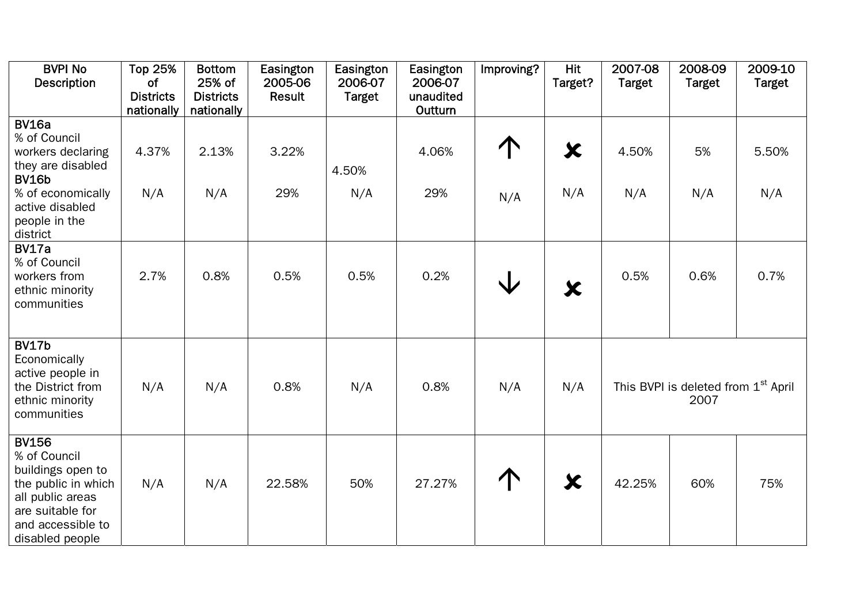| <b>BVPI No</b><br><b>Description</b>                                                                                                                        | <b>Top 25%</b><br><b>of</b><br><b>Districts</b><br>nationally | <b>Bottom</b><br>25% of<br><b>Districts</b><br>nationally | Easington<br>2005-06<br>Result | Easington<br>2006-07<br><b>Target</b> | Easington<br>2006-07<br>unaudited<br>Outturn | Improving? | <b>Hit</b><br>Target? | 2007-08<br><b>Target</b> | 2008-09<br><b>Target</b>                                | 2009-10<br><b>Target</b> |
|-------------------------------------------------------------------------------------------------------------------------------------------------------------|---------------------------------------------------------------|-----------------------------------------------------------|--------------------------------|---------------------------------------|----------------------------------------------|------------|-----------------------|--------------------------|---------------------------------------------------------|--------------------------|
| <b>BV16a</b><br>% of Council<br>workers declaring<br>they are disabled<br><b>BV16b</b><br>% of economically<br>active disabled<br>people in the<br>district | 4.37%<br>N/A                                                  | 2.13%<br>N/A                                              | 3.22%<br>29%                   | 4.50%<br>N/A                          | 4.06%<br>29%                                 | N/A        | X<br>N/A              | 4.50%<br>N/A             | 5%<br>N/A                                               | 5.50%<br>N/A             |
| <b>BV17a</b><br>% of Council<br>workers from<br>ethnic minority<br>communities                                                                              | 2.7%                                                          | 0.8%                                                      | 0.5%                           | 0.5%                                  | 0.2%                                         | V          | $\bm{\varkappa}$      | 0.5%                     | 0.6%                                                    | 0.7%                     |
| <b>BV17b</b><br>Economically<br>active people in<br>the District from<br>ethnic minority<br>communities                                                     | N/A                                                           | N/A                                                       | 0.8%                           | N/A                                   | 0.8%                                         | N/A        | N/A                   |                          | This BVPI is deleted from 1 <sup>st</sup> April<br>2007 |                          |
| <b>BV156</b><br>% of Council<br>buildings open to<br>the public in which<br>all public areas<br>are suitable for<br>and accessible to<br>disabled people    | N/A                                                           | N/A                                                       | 22.58%                         | 50%                                   | 27.27%                                       | 个          | $\bm{x}$              | 42.25%                   | 60%                                                     | 75%                      |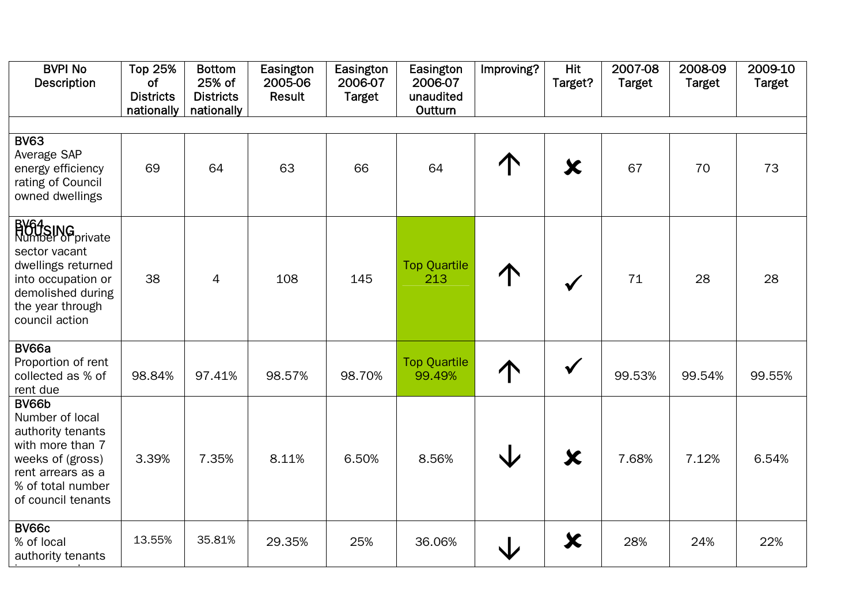| <b>BVPI No</b><br><b>Description</b>                                                                                                                         | <b>Top 25%</b><br><b>of</b><br><b>Districts</b><br>nationally | <b>Bottom</b><br>25% of<br><b>Districts</b><br>nationally | Easington<br>2005-06<br><b>Result</b> | Easington<br>2006-07<br><b>Target</b> | Easington<br>2006-07<br>unaudited<br>Outturn | Improving?              | <b>Hit</b><br>Target? | 2007-08<br><b>Target</b> | 2008-09<br><b>Target</b> | 2009-10<br><b>Target</b> |
|--------------------------------------------------------------------------------------------------------------------------------------------------------------|---------------------------------------------------------------|-----------------------------------------------------------|---------------------------------------|---------------------------------------|----------------------------------------------|-------------------------|-----------------------|--------------------------|--------------------------|--------------------------|
| <b>BV63</b>                                                                                                                                                  |                                                               |                                                           |                                       |                                       |                                              |                         |                       |                          |                          |                          |
| Average SAP<br>energy efficiency<br>rating of Council<br>owned dwellings                                                                                     | 69                                                            | 64                                                        | 63                                    | 66                                    | 64                                           |                         | X                     | 67                       | 70                       | 73                       |
| <b>BV64SING</b><br>Number of private<br>sector vacant<br>dwellings returned<br>into occupation or<br>demolished during<br>the year through<br>council action | 38                                                            | $\overline{4}$                                            | 108                                   | 145                                   | <b>Top Quartile</b><br>213                   |                         | $\checkmark$          | 71                       | 28                       | 28                       |
| <b>BV66a</b><br>Proportion of rent<br>collected as % of<br>rent due                                                                                          | 98.84%                                                        | 97.41%                                                    | 98.57%                                | 98.70%                                | <b>Top Quartile</b><br>99.49%                | 个                       | $\checkmark$          | 99.53%                   | 99.54%                   | 99.55%                   |
| BV66b<br>Number of local<br>authority tenants<br>with more than 7<br>weeks of (gross)<br>rent arrears as a<br>% of total number<br>of council tenants        | 3.39%                                                         | 7.35%                                                     | 8.11%                                 | 6.50%                                 | 8.56%                                        | $\overline{\mathsf{V}}$ | $\bm{x}$              | 7.68%                    | 7.12%                    | 6.54%                    |
| <b>BV66c</b><br>% of local<br>authority tenants                                                                                                              | 13.55%                                                        | 35.81%                                                    | 29.35%                                | 25%                                   | 36.06%                                       |                         | $\bm{x}$              | 28%                      | 24%                      | 22%                      |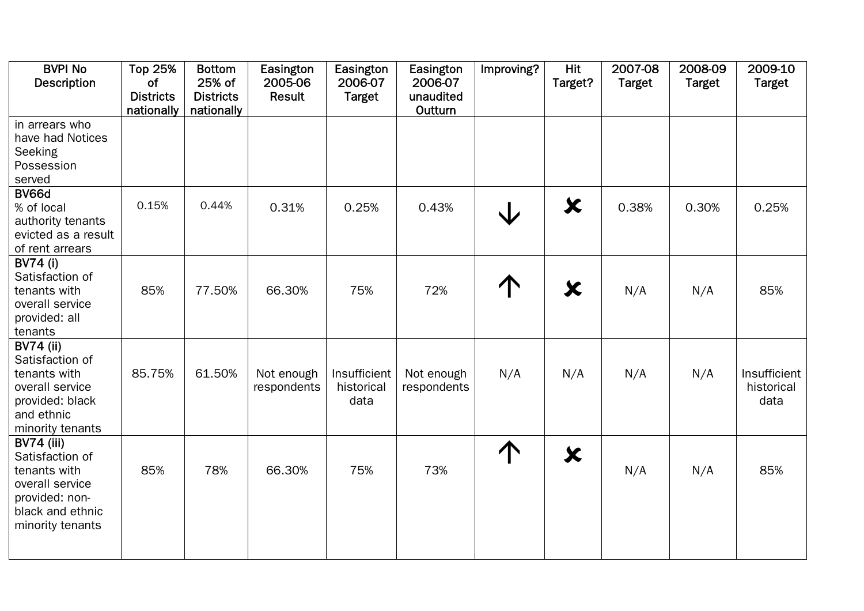| <b>BVPI No</b><br><b>Description</b>                                                                                              | <b>Top 25%</b><br>of<br><b>Districts</b> | <b>Bottom</b><br>25% of<br><b>Districts</b> | Easington<br>2005-06<br><b>Result</b> | Easington<br>2006-07<br><b>Target</b> | Easington<br>2006-07<br>unaudited | Improving? | <b>Hit</b><br>Target? | 2007-08<br><b>Target</b> | 2008-09<br><b>Target</b> | 2009-10<br><b>Target</b>           |
|-----------------------------------------------------------------------------------------------------------------------------------|------------------------------------------|---------------------------------------------|---------------------------------------|---------------------------------------|-----------------------------------|------------|-----------------------|--------------------------|--------------------------|------------------------------------|
|                                                                                                                                   | nationally                               | nationally                                  |                                       |                                       | Outturn                           |            |                       |                          |                          |                                    |
| in arrears who<br>have had Notices<br>Seeking<br>Possession<br>served                                                             |                                          |                                             |                                       |                                       |                                   |            |                       |                          |                          |                                    |
| BV66d<br>% of local<br>authority tenants<br>evicted as a result<br>of rent arrears                                                | 0.15%                                    | 0.44%                                       | 0.31%                                 | 0.25%                                 | 0.43%                             |            | X                     | 0.38%                    | 0.30%                    | 0.25%                              |
| <b>BV74 (i)</b><br>Satisfaction of<br>tenants with<br>overall service<br>provided: all<br>tenants                                 | 85%                                      | 77.50%                                      | 66.30%                                | 75%                                   | 72%                               |            | $\bm{x}$              | N/A                      | N/A                      | 85%                                |
| <b>BV74 (ii)</b><br>Satisfaction of<br>tenants with<br>overall service<br>provided: black<br>and ethnic<br>minority tenants       | 85.75%                                   | 61.50%                                      | Not enough<br>respondents             | Insufficient<br>historical<br>data    | Not enough<br>respondents         | N/A        | N/A                   | N/A                      | N/A                      | Insufficient<br>historical<br>data |
| <b>BV74 (iii)</b><br>Satisfaction of<br>tenants with<br>overall service<br>provided: non-<br>black and ethnic<br>minority tenants | 85%                                      | 78%                                         | 66.30%                                | 75%                                   | 73%                               | 个          | $\bm{x}$              | N/A                      | N/A                      | 85%                                |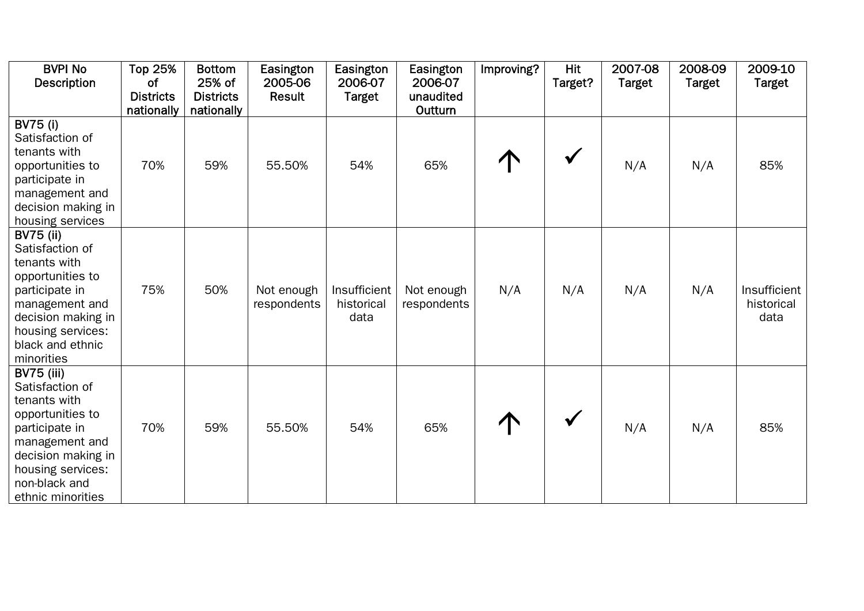| <b>BVPI No</b><br><b>Description</b>                                                                                                                                                          | <b>Top 25%</b><br>of<br><b>Districts</b><br>nationally | <b>Bottom</b><br>25% of<br><b>Districts</b><br>nationally | Easington<br>2005-06<br>Result | Easington<br>2006-07<br><b>Target</b> | Easington<br>2006-07<br>unaudited<br>Outturn | Improving? | <b>Hit</b><br>Target? | 2007-08<br><b>Target</b> | 2008-09<br><b>Target</b> | 2009-10<br><b>Target</b>           |
|-----------------------------------------------------------------------------------------------------------------------------------------------------------------------------------------------|--------------------------------------------------------|-----------------------------------------------------------|--------------------------------|---------------------------------------|----------------------------------------------|------------|-----------------------|--------------------------|--------------------------|------------------------------------|
| <b>BV75 (i)</b><br>Satisfaction of<br>tenants with<br>opportunities to<br>participate in<br>management and<br>decision making in<br>housing services                                          | 70%                                                    | 59%                                                       | 55.50%                         | 54%                                   | 65%                                          |            |                       | N/A                      | N/A                      | 85%                                |
| <b>BV75 (ii)</b><br>Satisfaction of<br>tenants with<br>opportunities to<br>participate in<br>management and<br>decision making in<br>housing services:<br>black and ethnic<br>minorities      | 75%                                                    | 50%                                                       | Not enough<br>respondents      | Insufficient<br>historical<br>data    | Not enough<br>respondents                    | N/A        | N/A                   | N/A                      | N/A                      | Insufficient<br>historical<br>data |
| <b>BV75 (iii)</b><br>Satisfaction of<br>tenants with<br>opportunities to<br>participate in<br>management and<br>decision making in<br>housing services:<br>non-black and<br>ethnic minorities | 70%                                                    | 59%                                                       | 55.50%                         | 54%                                   | 65%                                          |            |                       | N/A                      | N/A                      | 85%                                |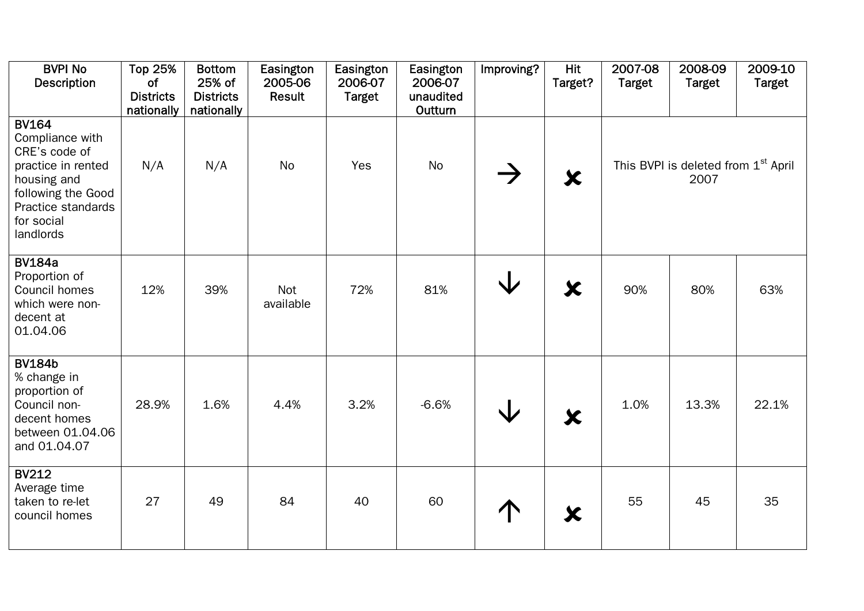| <b>BVPI No</b><br><b>Description</b>                                                                                                                         | <b>Top 25%</b><br>of<br><b>Districts</b><br>nationally | <b>Bottom</b><br>25% of<br><b>Districts</b><br>nationally | Easington<br>2005-06<br>Result | Easington<br>2006-07<br><b>Target</b> | Easington<br>2006-07<br>unaudited<br>Outturn | Improving? | Hit<br>Target?      | 2007-08<br><b>Target</b> | 2008-09<br><b>Target</b>                                | 2009-10<br><b>Target</b> |
|--------------------------------------------------------------------------------------------------------------------------------------------------------------|--------------------------------------------------------|-----------------------------------------------------------|--------------------------------|---------------------------------------|----------------------------------------------|------------|---------------------|--------------------------|---------------------------------------------------------|--------------------------|
| <b>BV164</b><br>Compliance with<br>CRE's code of<br>practice in rented<br>housing and<br>following the Good<br>Practice standards<br>for social<br>landlords | N/A                                                    | N/A                                                       | No                             | Yes                                   | <b>No</b>                                    |            | $\bm{x}$            |                          | This BVPI is deleted from 1 <sup>st</sup> April<br>2007 |                          |
| <b>BV184a</b><br>Proportion of<br>Council homes<br>which were non-<br>decent at<br>01.04.06                                                                  | 12%                                                    | 39%                                                       | Not<br>available               | 72%                                   | 81%                                          | Jz         | $\bm{x}$            | 90%                      | 80%                                                     | 63%                      |
| <b>BV184b</b><br>% change in<br>proportion of<br>Council non-<br>decent homes<br>between 01.04.06<br>and 01.04.07                                            | 28.9%                                                  | 1.6%                                                      | 4.4%                           | 3.2%                                  | $-6.6%$                                      | J          | $\boldsymbol{\chi}$ | 1.0%                     | 13.3%                                                   | 22.1%                    |
| <b>BV212</b><br>Average time<br>taken to re-let<br>council homes                                                                                             | 27                                                     | 49                                                        | 84                             | 40                                    | 60                                           |            | X                   | 55                       | 45                                                      | 35                       |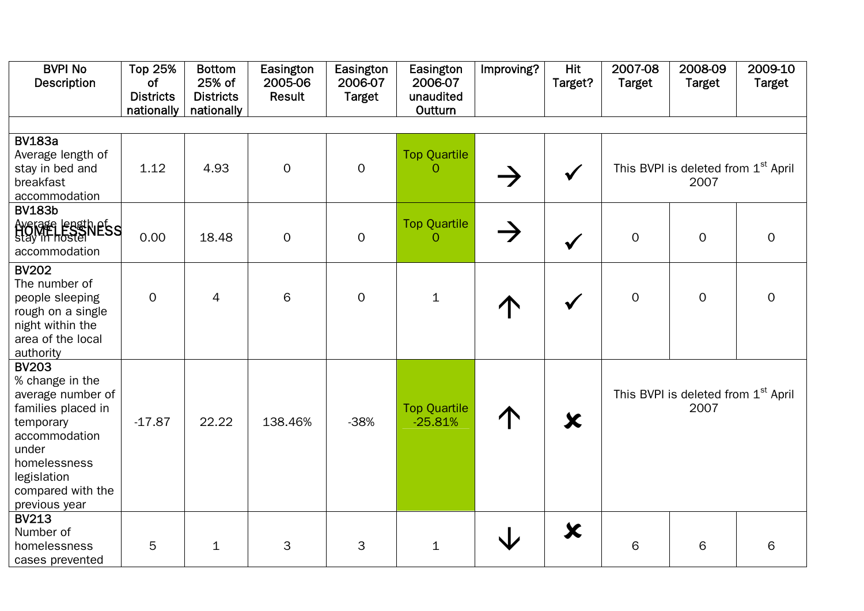| <b>BVPI No</b><br><b>Description</b>                                                                                                                                                   | <b>Top 25%</b><br>of<br><b>Districts</b><br>nationally | <b>Bottom</b><br>25% of<br><b>Districts</b><br>nationally | Easington<br>2005-06<br>Result | Easington<br>2006-07<br><b>Target</b> | Easington<br>2006-07<br>unaudited<br>Outturn | Improving?    | Hit<br>Target? | 2007-08<br><b>Target</b> | 2008-09<br><b>Target</b>                                | 2009-10<br><b>Target</b> |
|----------------------------------------------------------------------------------------------------------------------------------------------------------------------------------------|--------------------------------------------------------|-----------------------------------------------------------|--------------------------------|---------------------------------------|----------------------------------------------|---------------|----------------|--------------------------|---------------------------------------------------------|--------------------------|
|                                                                                                                                                                                        |                                                        |                                                           |                                |                                       |                                              |               |                |                          |                                                         |                          |
| <b>BV183a</b><br>Average length of<br>stay in bed and<br>breakfast<br>accommodation                                                                                                    | 1.12                                                   | 4.93                                                      | $\overline{O}$                 | $\overline{O}$                        | <b>Top Quartile</b><br>$\Omega$              |               | $\checkmark$   |                          | This BVPI is deleted from 1 <sup>st</sup> April<br>2007 |                          |
| <b>BV183b</b><br>AYSIGES ESSINESS<br>accommodation                                                                                                                                     | 0.00                                                   | 18.48                                                     | $\overline{O}$                 | $\overline{O}$                        | <b>Top Quartile</b><br>$\Omega$              | $\rightarrow$ | $\checkmark$   | $\overline{O}$           | $\overline{O}$                                          | $\mathbf{O}$             |
| <b>BV202</b><br>The number of<br>people sleeping<br>rough on a single<br>night within the<br>area of the local<br>authority                                                            | $\boldsymbol{0}$                                       | 4                                                         | 6                              | $\overline{O}$                        | $\mathbf{1}$                                 |               |                | $\mathbf 0$              | $\Omega$                                                | $\mathbf{O}$             |
| <b>BV203</b><br>% change in the<br>average number of<br>families placed in<br>temporary<br>accommodation<br>under<br>homelessness<br>legislation<br>compared with the<br>previous year | $-17.87$                                               | 22.22                                                     | 138.46%                        | $-38%$                                | <b>Top Quartile</b><br>$-25.81%$             |               | X              |                          | This BVPI is deleted from 1 <sup>st</sup> April<br>2007 |                          |
| <b>BV213</b><br>Number of<br>homelessness<br>cases prevented                                                                                                                           | 5                                                      | $\mathbf{1}$                                              | 3                              | 3                                     | $\mathbf 1$                                  |               | $\bm{x}$       | 6                        | 6                                                       | 6                        |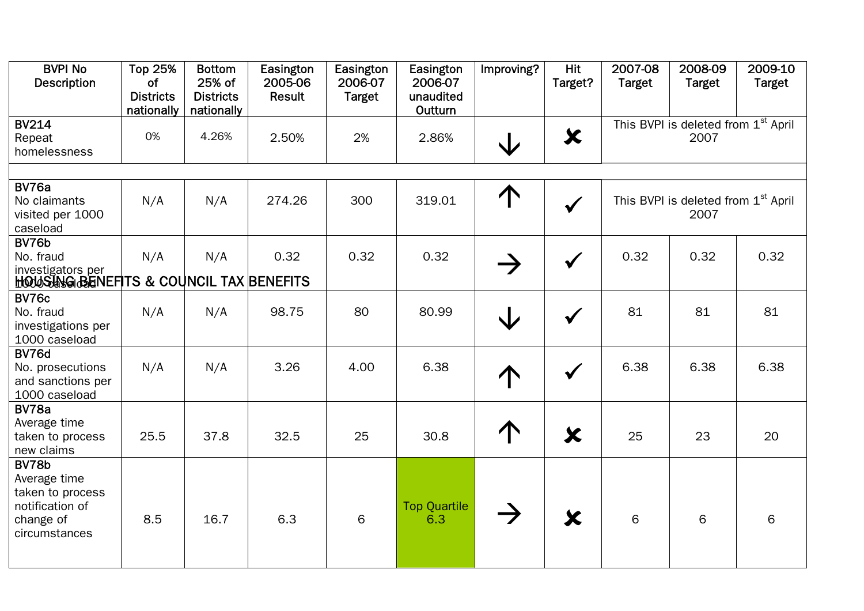| <b>BVPI No</b><br><b>Description</b>                                                       | <b>Top 25%</b><br><b>of</b><br><b>Districts</b><br>nationally | <b>Bottom</b><br>25% of<br><b>Districts</b><br>nationally | Easington<br>2005-06<br>Result | Easington<br>2006-07<br><b>Target</b> | Easington<br>2006-07<br>unaudited<br>Outturn | Improving?    | <b>Hit</b><br>Target? | 2007-08<br><b>Target</b> | 2008-09<br><b>Target</b>                                | 2009-10<br><b>Target</b> |
|--------------------------------------------------------------------------------------------|---------------------------------------------------------------|-----------------------------------------------------------|--------------------------------|---------------------------------------|----------------------------------------------|---------------|-----------------------|--------------------------|---------------------------------------------------------|--------------------------|
| <b>BV214</b><br>Repeat<br>homelessness                                                     | 0%                                                            | 4.26%                                                     | 2.50%                          | 2%                                    | 2.86%                                        | $\bigvee$     | $\bm{x}$              |                          | This BVPI is deleted from 1 <sup>st</sup> April<br>2007 |                          |
| BV76a                                                                                      |                                                               |                                                           |                                |                                       |                                              |               |                       |                          |                                                         |                          |
| No claimants<br>visited per 1000<br>caseload                                               | N/A                                                           | N/A                                                       | 274.26                         | 300                                   | 319.01                                       | 1             |                       |                          | This BVPI is deleted from 1 <sup>st</sup> April<br>2007 |                          |
| BV76b<br>No. fraud<br>investigators per<br>HOUS UNG BENEFITS & COUNCIL TAX BENEFITS        | N/A                                                           | N/A                                                       | 0.32                           | 0.32                                  | 0.32                                         |               |                       | 0.32                     | 0.32                                                    | 0.32                     |
| <b>BV76c</b><br>No. fraud<br>investigations per<br>1000 caseload                           | N/A                                                           | N/A                                                       | 98.75                          | 80                                    | 80.99                                        |               |                       | 81                       | 81                                                      | 81                       |
| BV76d<br>No. prosecutions<br>and sanctions per<br>1000 caseload                            | N/A                                                           | N/A                                                       | 3.26                           | 4.00                                  | 6.38                                         |               |                       | 6.38                     | 6.38                                                    | 6.38                     |
| BV78a<br>Average time<br>taken to process<br>new claims                                    | 25.5                                                          | 37.8                                                      | 32.5                           | 25                                    | 30.8                                         | $\uparrow$    | $\bm{x}$              | 25                       | 23                                                      | 20                       |
| BV78b<br>Average time<br>taken to process<br>notification of<br>change of<br>circumstances | 8.5                                                           | 16.7                                                      | 6.3                            | 6                                     | <b>Top Quartile</b><br>6.3                   | $\rightarrow$ | X                     | 6                        | 6                                                       | 6                        |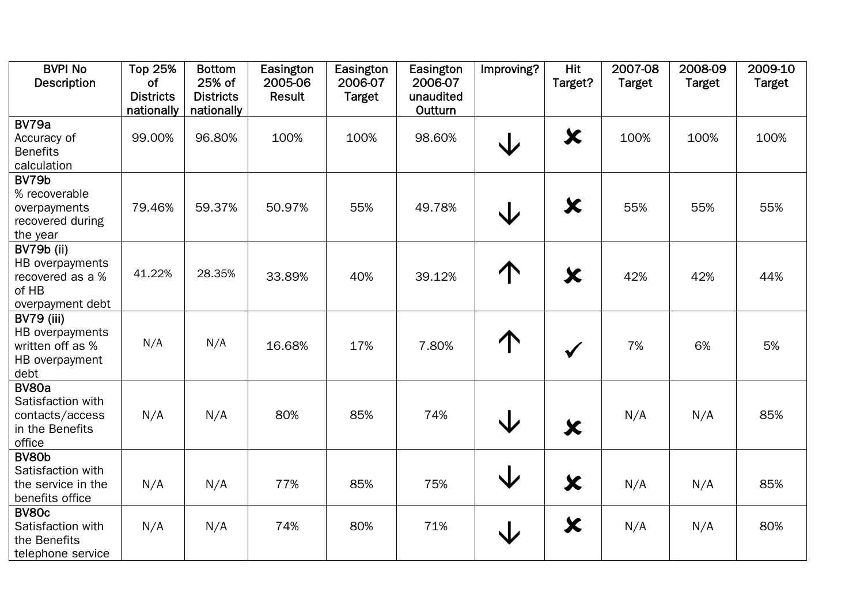| <b>BVPI No</b>     | <b>Top 25%</b>   | <b>Bottom</b>    | Easington | Easington     | Easington | Improving?              | <b>Hit</b>   | 2007-08       | 2008-09       | 2009-10       |
|--------------------|------------------|------------------|-----------|---------------|-----------|-------------------------|--------------|---------------|---------------|---------------|
| <b>Description</b> | <b>of</b>        | 25% of           | 2005-06   | 2006-07       | 2006-07   |                         | Target?      | <b>Target</b> | <b>Target</b> | <b>Target</b> |
|                    | <b>Districts</b> | <b>Districts</b> | Result    | <b>Target</b> | unaudited |                         |              |               |               |               |
|                    | nationally       | nationally       |           |               | Outturn   |                         |              |               |               |               |
| BV79a              |                  |                  |           |               |           |                         |              |               |               |               |
| Accuracy of        | 99.00%           | 96.80%           | 100%      | 100%          | 98.60%    | $\bigvee$               | $\bm{x}$     | 100%          | 100%          | 100%          |
| <b>Benefits</b>    |                  |                  |           |               |           |                         |              |               |               |               |
| calculation        |                  |                  |           |               |           |                         |              |               |               |               |
| BV79b              |                  |                  |           |               |           |                         |              |               |               |               |
| % recoverable      |                  |                  |           |               |           |                         |              |               |               |               |
| overpayments       | 79.46%           | 59.37%           | 50.97%    | 55%           | 49.78%    | $\bigvee$               | $\bm{x}$     | 55%           | 55%           | 55%           |
| recovered during   |                  |                  |           |               |           |                         |              |               |               |               |
| the year           |                  |                  |           |               |           |                         |              |               |               |               |
| BV79b (ii)         |                  |                  |           |               |           |                         |              |               |               |               |
| HB overpayments    |                  |                  |           |               |           |                         |              |               |               |               |
| recovered as a %   | 41.22%           | 28.35%           | 33.89%    | 40%           | 39.12%    | 个                       | $\bm{x}$     | 42%           | 42%           | 44%           |
| of HB              |                  |                  |           |               |           |                         |              |               |               |               |
| overpayment debt   |                  |                  |           |               |           |                         |              |               |               |               |
| <b>BV79 (iii)</b>  |                  |                  |           |               |           |                         |              |               |               |               |
| HB overpayments    |                  |                  |           |               |           |                         |              |               |               |               |
| written off as %   | N/A              | N/A              | 16.68%    | 17%           | 7.80%     | ↑                       | $\checkmark$ | 7%            | 6%            | 5%            |
| HB overpayment     |                  |                  |           |               |           |                         |              |               |               |               |
| debt               |                  |                  |           |               |           |                         |              |               |               |               |
| <b>BV80a</b>       |                  |                  |           |               |           |                         |              |               |               |               |
| Satisfaction with  |                  |                  |           |               |           |                         |              |               |               |               |
| contacts/access    | N/A              | N/A              | 80%       | 85%           | 74%       | $\overline{\mathsf{V}}$ |              | N/A           | N/A           | 85%           |
| in the Benefits    |                  |                  |           |               |           |                         | $\bm{x}$     |               |               |               |
| office             |                  |                  |           |               |           |                         |              |               |               |               |
| BV80b              |                  |                  |           |               |           |                         |              |               |               |               |
| Satisfaction with  |                  |                  |           |               |           | $\bigvee$               |              |               |               |               |
| the service in the | N/A              | N/A              | 77%       | 85%           | 75%       |                         | $\bm{x}$     | N/A           | N/A           | 85%           |
| benefits office    |                  |                  |           |               |           |                         |              |               |               |               |
| <b>BV80c</b>       |                  |                  |           |               |           |                         |              |               |               |               |
| Satisfaction with  | N/A              | N/A              | 74%       | 80%           | 71%       |                         | $\bm{x}$     | N/A           | N/A           | 80%           |
| the Benefits       |                  |                  |           |               |           | $\downarrow$            |              |               |               |               |
| telephone service  |                  |                  |           |               |           |                         |              |               |               |               |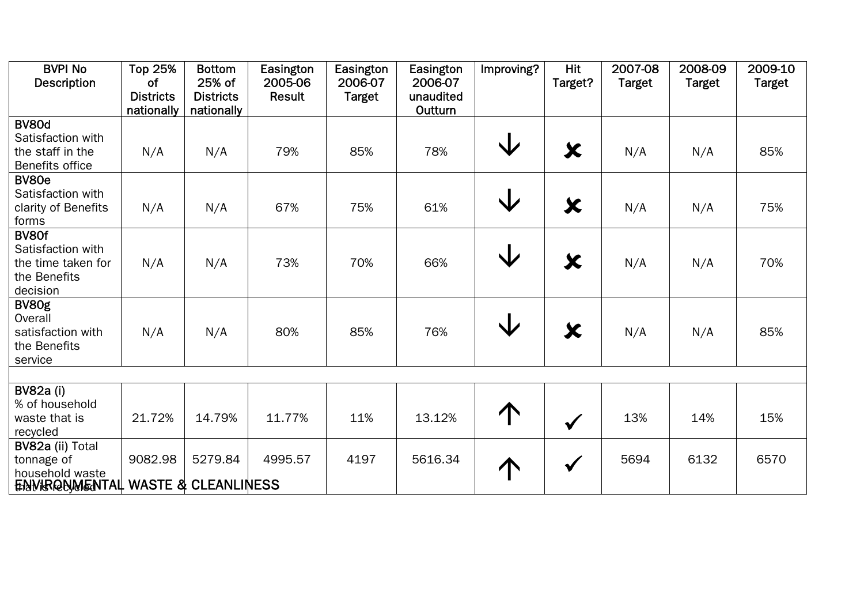| <b>BVPI No</b>                               | <b>Top 25%</b>   | <b>Bottom</b>    | Easington | Easington     | Easington | Improving?        | <b>Hit</b>   | 2007-08       | 2008-09       | 2009-10       |
|----------------------------------------------|------------------|------------------|-----------|---------------|-----------|-------------------|--------------|---------------|---------------|---------------|
| <b>Description</b>                           | of               | 25% of           | 2005-06   | 2006-07       | 2006-07   |                   | Target?      | <b>Target</b> | <b>Target</b> | <b>Target</b> |
|                                              | <b>Districts</b> | <b>Districts</b> | Result    | <b>Target</b> | unaudited |                   |              |               |               |               |
|                                              | nationally       | nationally       |           |               | Outturn   |                   |              |               |               |               |
| <b>BV80d</b>                                 |                  |                  |           |               |           |                   |              |               |               |               |
| Satisfaction with                            |                  |                  |           |               |           | $\bm{\mathsf{V}}$ |              |               |               |               |
| the staff in the                             | N/A              | N/A              | 79%       | 85%           | 78%       |                   | $\bm{x}$     | N/A           | N/A           | 85%           |
| Benefits office                              |                  |                  |           |               |           |                   |              |               |               |               |
| BV80e                                        |                  |                  |           |               |           |                   |              |               |               |               |
| Satisfaction with                            |                  |                  |           |               |           | $\bigvee$         |              |               |               |               |
| clarity of Benefits                          | N/A              | N/A              | 67%       | 75%           | 61%       |                   | $\bm{x}$     | N/A           | N/A           | 75%           |
| forms                                        |                  |                  |           |               |           |                   |              |               |               |               |
| BV80f                                        |                  |                  |           |               |           |                   |              |               |               |               |
| Satisfaction with                            |                  |                  |           |               |           |                   |              |               |               |               |
| the time taken for                           | N/A              | N/A              | 73%       | 70%           | 66%       | $\bm{\mathsf{V}}$ | $\bm{x}$     | N/A           | N/A           | 70%           |
| the Benefits                                 |                  |                  |           |               |           |                   |              |               |               |               |
| decision                                     |                  |                  |           |               |           |                   |              |               |               |               |
| BV80g                                        |                  |                  |           |               |           |                   |              |               |               |               |
| Overall                                      |                  |                  |           |               |           |                   |              |               |               |               |
| satisfaction with                            | N/A              | N/A              | 80%       | 85%           | 76%       | V                 | $\bm{x}$     | N/A           | N/A           | 85%           |
| the Benefits                                 |                  |                  |           |               |           |                   |              |               |               |               |
| service                                      |                  |                  |           |               |           |                   |              |               |               |               |
|                                              |                  |                  |           |               |           |                   |              |               |               |               |
| <b>BV82a (i)</b>                             |                  |                  |           |               |           |                   |              |               |               |               |
| % of household                               |                  |                  |           |               |           |                   |              |               |               |               |
| waste that is                                | 21.72%           | 14.79%           | 11.77%    | 11%           | 13.12%    | $\uparrow$        |              | 13%           | 14%           | 15%           |
| recycled                                     |                  |                  |           |               |           |                   | $\checkmark$ |               |               |               |
| BV82a (ii) Total                             |                  |                  |           |               |           |                   |              |               |               |               |
| tonnage of                                   | 9082.98          | 5279.84          | 4995.57   | 4197          | 5616.34   |                   |              | 5694          | 6132          | 6570          |
| household waste                              |                  |                  |           |               |           |                   | $\checkmark$ |               |               |               |
| <b>ENVIRGUMENTAL WASTE &amp; CLEANLINESS</b> |                  |                  |           |               |           |                   |              |               |               |               |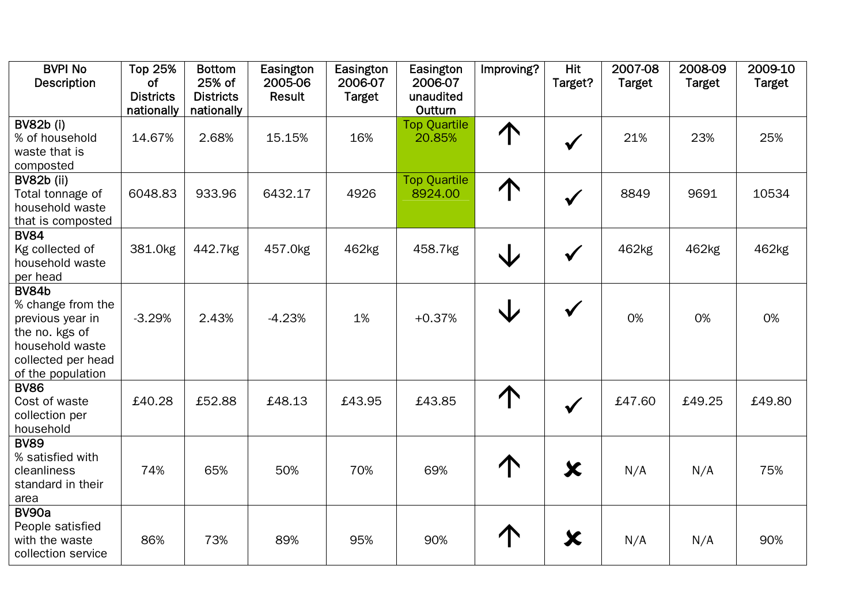| <b>BVPI No</b><br><b>Description</b>                                                                                                  | <b>Top 25%</b><br><b>of</b><br><b>Districts</b><br>nationally | <b>Bottom</b><br>25% of<br><b>Districts</b><br>nationally | Easington<br>2005-06<br>Result | Easington<br>2006-07<br><b>Target</b> | Easington<br>2006-07<br>unaudited<br>Outturn | Improving? | <b>Hit</b><br>Target? | 2007-08<br><b>Target</b> | 2008-09<br><b>Target</b> | 2009-10<br><b>Target</b> |
|---------------------------------------------------------------------------------------------------------------------------------------|---------------------------------------------------------------|-----------------------------------------------------------|--------------------------------|---------------------------------------|----------------------------------------------|------------|-----------------------|--------------------------|--------------------------|--------------------------|
| <b>BV82b (i)</b><br>% of household<br>waste that is<br>composted                                                                      | 14.67%                                                        | 2.68%                                                     | 15.15%                         | 16%                                   | <b>Top Quartile</b><br>20.85%                | 个          | $\checkmark$          | 21%                      | 23%                      | 25%                      |
| <b>BV82b (ii)</b><br>Total tonnage of<br>household waste<br>that is composted                                                         | 6048.83                                                       | 933.96                                                    | 6432.17                        | 4926                                  | <b>Top Quartile</b><br>8924.00               | 个          | $\checkmark$          | 8849                     | 9691                     | 10534                    |
| <b>BV84</b><br>Kg collected of<br>household waste<br>per head                                                                         | 381.0kg                                                       | 442.7kg                                                   | 457.0kg                        | 462kg                                 | 458.7kg                                      | V          | $\checkmark$          | 462kg                    | 462kg                    | 462kg                    |
| <b>BV84b</b><br>% change from the<br>previous year in<br>the no. kgs of<br>household waste<br>collected per head<br>of the population | $-3.29%$                                                      | 2.43%                                                     | $-4.23%$                       | 1%                                    | $+0.37%$                                     | $\bigvee$  | $\checkmark$          | 0%                       | 0%                       | 0%                       |
| <b>BV86</b><br>Cost of waste<br>collection per<br>household                                                                           | £40.28                                                        | £52.88                                                    | £48.13                         | £43.95                                | £43.85                                       | 个          | $\checkmark$          | £47.60                   | £49.25                   | £49.80                   |
| <b>BV89</b><br>% satisfied with<br>cleanliness<br>standard in their<br>area                                                           | 74%                                                           | 65%                                                       | 50%                            | 70%                                   | 69%                                          |            | $\bm{x}$              | N/A                      | N/A                      | 75%                      |
| BV90a<br>People satisfied<br>with the waste<br>collection service                                                                     | 86%                                                           | 73%                                                       | 89%                            | 95%                                   | 90%                                          |            | $\bm{\varkappa}$      | N/A                      | N/A                      | 90%                      |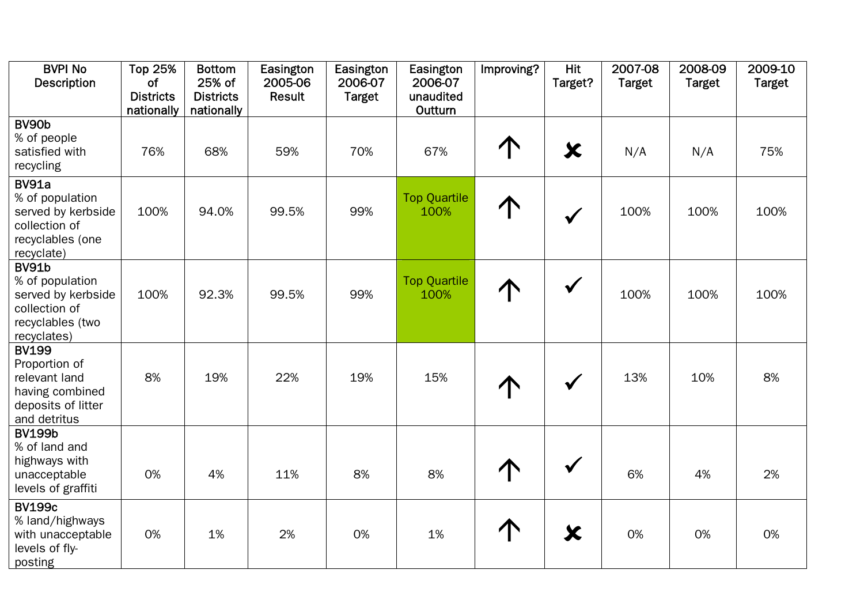| <b>BVPI No</b><br><b>Description</b>                                                                      | <b>Top 25%</b><br>of<br><b>Districts</b> | <b>Bottom</b><br>25% of<br><b>Districts</b> | Easington<br>2005-06<br>Result | Easington<br>2006-07<br><b>Target</b> | Easington<br>2006-07<br>unaudited | Improving? | <b>Hit</b><br>Target? | 2007-08<br><b>Target</b> | 2008-09<br><b>Target</b> | 2009-10<br><b>Target</b> |
|-----------------------------------------------------------------------------------------------------------|------------------------------------------|---------------------------------------------|--------------------------------|---------------------------------------|-----------------------------------|------------|-----------------------|--------------------------|--------------------------|--------------------------|
|                                                                                                           | nationally                               | nationally                                  |                                |                                       | Outturn                           |            |                       |                          |                          |                          |
| BV90b<br>% of people<br>satisfied with<br>recycling                                                       | 76%                                      | 68%                                         | 59%                            | 70%                                   | 67%                               |            | $\bm{x}$              | N/A                      | N/A                      | 75%                      |
| <b>BV91a</b><br>% of population<br>served by kerbside<br>collection of<br>recyclables (one<br>recyclate)  | 100%                                     | 94.0%                                       | 99.5%                          | 99%                                   | <b>Top Quartile</b><br>100%       | 个          | $\checkmark$          | 100%                     | 100%                     | 100%                     |
| <b>BV91b</b><br>% of population<br>served by kerbside<br>collection of<br>recyclables (two<br>recyclates) | 100%                                     | 92.3%                                       | 99.5%                          | 99%                                   | <b>Top Quartile</b><br>100%       |            | $\checkmark$          | 100%                     | 100%                     | 100%                     |
| <b>BV199</b><br>Proportion of<br>relevant land<br>having combined<br>deposits of litter<br>and detritus   | 8%                                       | 19%                                         | 22%                            | 19%                                   | 15%                               |            | $\checkmark$          | 13%                      | 10%                      | 8%                       |
| <b>BV199b</b><br>% of land and<br>highways with<br>unacceptable<br>levels of graffiti                     | 0%                                       | 4%                                          | 11%                            | 8%                                    | 8%                                |            | $\checkmark$          | 6%                       | 4%                       | 2%                       |
| <b>BV199c</b><br>% land/highways<br>with unacceptable<br>levels of fly-<br>posting                        | 0%                                       | 1%                                          | 2%                             | 0%                                    | 1%                                |            | $\bm{x}$              | 0%                       | 0%                       | 0%                       |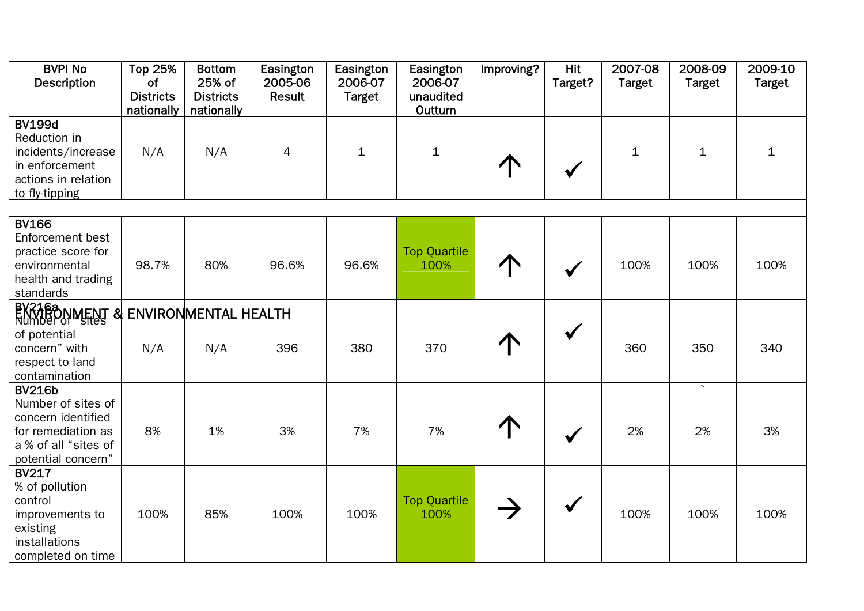| <b>BVPI No</b><br><b>Description</b>                                                                                          | <b>Top 25%</b><br>of           | <b>Bottom</b><br>25% of        | Easington<br>2005-06 | Easington<br>2006-07 | Easington<br>2006-07        | Improving? | <b>Hit</b><br>Target? | $2007 -08$<br><b>Target</b> | 2008-09<br><b>Target</b> | 2009-10<br><b>Target</b> |
|-------------------------------------------------------------------------------------------------------------------------------|--------------------------------|--------------------------------|----------------------|----------------------|-----------------------------|------------|-----------------------|-----------------------------|--------------------------|--------------------------|
|                                                                                                                               | <b>Districts</b><br>nationally | <b>Districts</b><br>nationally | Result               | <b>Target</b>        | unaudited<br>Outturn        |            |                       |                             |                          |                          |
| <b>BV199d</b><br>Reduction in<br>incidents/increase<br>in enforcement<br>actions in relation<br>to fly-tipping                | N/A                            | N/A                            | 4                    | $\mathbf{1}$         | $\mathbf{1}$                |            | $\checkmark$          | $\mathbf{1}$                | $\mathbf{1}$             | $\mathbf 1$              |
|                                                                                                                               |                                |                                |                      |                      |                             |            |                       |                             |                          |                          |
| <b>BV166</b><br>Enforcement best<br>practice score for<br>environmental<br>health and trading<br>standards                    | 98.7%                          | 80%                            | 96.6%                | 96.6%                | <b>Top Quartile</b><br>100% |            | $\checkmark$          | 100%                        | 100%                     | 100%                     |
| BYZZTRONMENT & ENVIRONMENTAL HEALTH                                                                                           |                                |                                |                      |                      |                             |            |                       |                             |                          |                          |
| of potential<br>concern" with<br>respect to land<br>contamination                                                             | N/A                            | N/A                            | 396                  | 380                  | 370                         |            | $\checkmark$          | 360                         | 350                      | 340                      |
| <b>BV216b</b><br>Number of sites of<br>concern identified<br>for remediation as<br>a % of all "sites of<br>potential concern" | 8%                             | 1%                             | 3%                   | 7%                   | 7%                          |            | $\checkmark$          | 2%                          | $\sim$<br>2%             | 3%                       |
| <b>BV217</b><br>% of pollution<br>control<br>improvements to<br>existing<br>installations<br>completed on time                | 100%                           | 85%                            | 100%                 | 100%                 | <b>Top Quartile</b><br>100% |            | $\checkmark$          | 100%                        | 100%                     | 100%                     |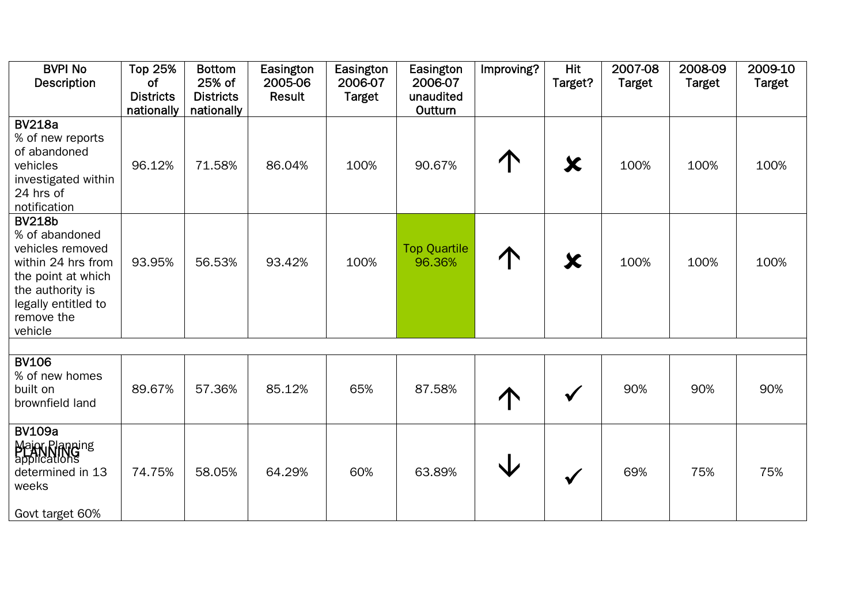| <b>BVPI No</b><br><b>Description</b>                                                                                                                                | <b>Top 25%</b><br><b>of</b><br><b>Districts</b><br>nationally | <b>Bottom</b><br>25% of<br><b>Districts</b><br>nationally | Easington<br>2005-06<br><b>Result</b> | Easington<br>2006-07<br><b>Target</b> | Easington<br>2006-07<br>unaudited<br>Outturn | Improving? | <b>Hit</b><br>Target? | 2007-08<br><b>Target</b> | 2008-09<br><b>Target</b> | 2009-10<br><b>Target</b> |
|---------------------------------------------------------------------------------------------------------------------------------------------------------------------|---------------------------------------------------------------|-----------------------------------------------------------|---------------------------------------|---------------------------------------|----------------------------------------------|------------|-----------------------|--------------------------|--------------------------|--------------------------|
| <b>BV218a</b><br>% of new reports<br>of abandoned<br>vehicles<br>investigated within<br>24 hrs of<br>notification                                                   | 96.12%                                                        | 71.58%                                                    | 86.04%                                | 100%                                  | 90.67%                                       |            | X                     | 100%                     | 100%                     | 100%                     |
| <b>BV218b</b><br>% of abandoned<br>vehicles removed<br>within 24 hrs from<br>the point at which<br>the authority is<br>legally entitled to<br>remove the<br>vehicle | 93.95%                                                        | 56.53%                                                    | 93.42%                                | 100%                                  | <b>Top Quartile</b><br>96.36%                |            | X                     | 100%                     | 100%                     | 100%                     |
| <b>BV106</b>                                                                                                                                                        |                                                               |                                                           |                                       |                                       |                                              |            |                       |                          |                          |                          |
| % of new homes<br>built on<br>brownfield land                                                                                                                       | 89.67%                                                        | 57.36%                                                    | 85.12%                                | 65%                                   | 87.58%                                       |            | $\checkmark$          | 90%                      | 90%                      | 90%                      |
| <b>BV109a</b><br>Major Planning<br>applications<br>determined in 13<br>weeks<br>Govt target 60%                                                                     | 74.75%                                                        | 58.05%                                                    | 64.29%                                | 60%                                   | 63.89%                                       |            | $\checkmark$          | 69%                      | 75%                      | 75%                      |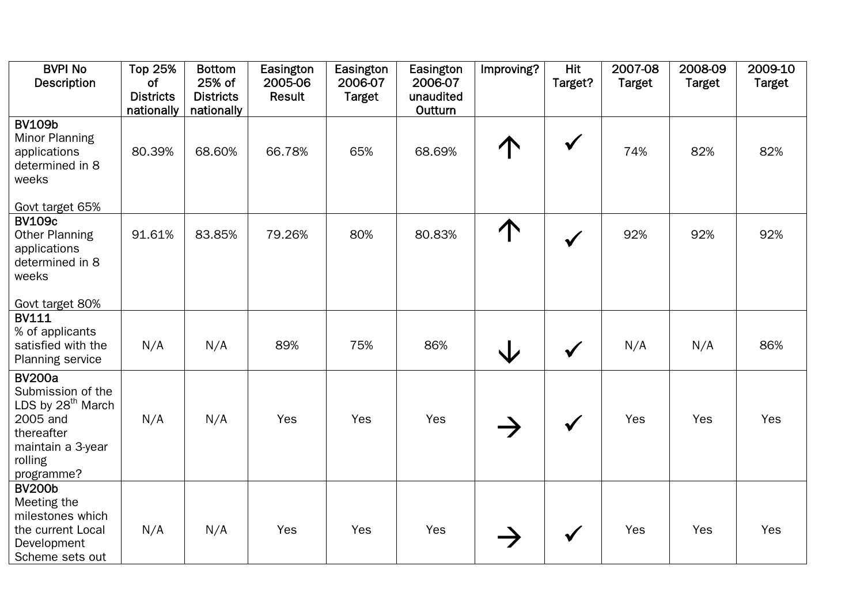| <b>BVPI No</b><br>Description                                                                                                               | <b>Top 25%</b><br>of           | <b>Bottom</b><br>25% of        | Easington<br>2005-06 | Easington<br>2006-07 | Easington<br>2006-07 | Improving? | <b>Hit</b><br>Target? | 2007-08<br><b>Target</b> | 2008-09<br><b>Target</b> | 2009-10<br><b>Target</b> |
|---------------------------------------------------------------------------------------------------------------------------------------------|--------------------------------|--------------------------------|----------------------|----------------------|----------------------|------------|-----------------------|--------------------------|--------------------------|--------------------------|
|                                                                                                                                             | <b>Districts</b><br>nationally | <b>Districts</b><br>nationally | Result               | <b>Target</b>        | unaudited<br>Outturn |            |                       |                          |                          |                          |
| <b>BV109b</b><br><b>Minor Planning</b><br>applications<br>determined in 8<br>weeks                                                          | 80.39%                         | 68.60%                         | 66.78%               | 65%                  | 68.69%               |            | $\checkmark$          | 74%                      | 82%                      | 82%                      |
| Govt target 65%                                                                                                                             |                                |                                |                      |                      |                      |            |                       |                          |                          |                          |
| <b>BV109c</b><br><b>Other Planning</b><br>applications<br>determined in 8<br>weeks                                                          | 91.61%                         | 83.85%                         | 79.26%               | 80%                  | 80.83%               | 个          | $\checkmark$          | 92%                      | 92%                      | 92%                      |
| Govt target 80%                                                                                                                             |                                |                                |                      |                      |                      |            |                       |                          |                          |                          |
| <b>BV111</b><br>% of applicants<br>satisfied with the<br><b>Planning service</b>                                                            | N/A                            | N/A                            | 89%                  | 75%                  | 86%                  | $\bigvee$  | $\checkmark$          | N/A                      | N/A                      | 86%                      |
| <b>BV200a</b><br>Submission of the<br>LDS by 28 <sup>th</sup> March<br>2005 and<br>thereafter<br>maintain a 3-year<br>rolling<br>programme? | N/A                            | N/A                            | Yes                  | Yes                  | Yes                  |            | $\checkmark$          | Yes                      | Yes                      | Yes                      |
| <b>BV200b</b><br>Meeting the<br>milestones which<br>the current Local<br>Development<br>Scheme sets out                                     | N/A                            | N/A                            | Yes                  | Yes                  | Yes                  |            |                       | Yes                      | Yes                      | Yes                      |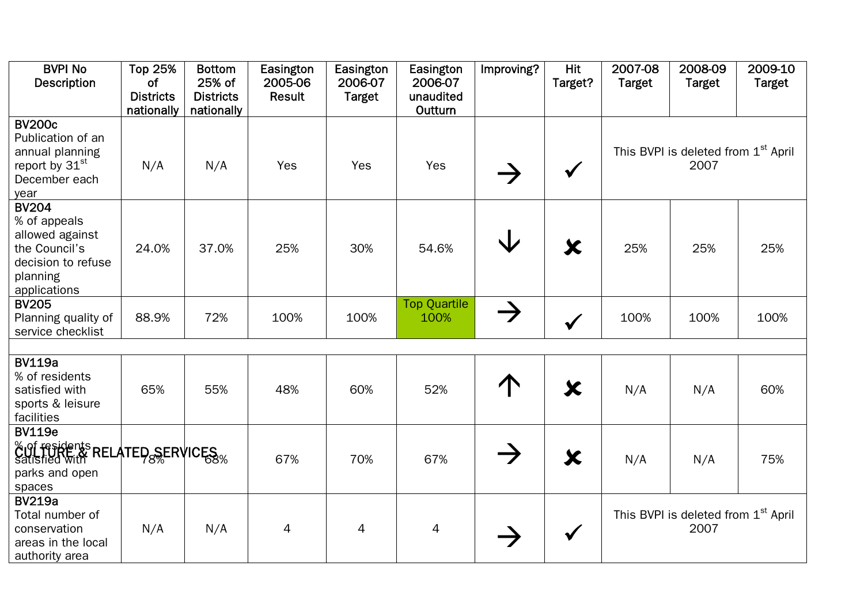| <b>BVPI No</b><br>Description                                                                                      | <b>Top 25%</b><br><b>of</b>    | <b>Bottom</b><br>25% of        | Easington<br>2005-06 | Easington<br>2006-07 | Easington<br>2006-07        | Improving?    | <b>Hit</b><br>Target? | 2007-08<br><b>Target</b> | 2008-09<br><b>Target</b>                                | 2009-10<br><b>Target</b> |
|--------------------------------------------------------------------------------------------------------------------|--------------------------------|--------------------------------|----------------------|----------------------|-----------------------------|---------------|-----------------------|--------------------------|---------------------------------------------------------|--------------------------|
|                                                                                                                    | <b>Districts</b><br>nationally | <b>Districts</b><br>nationally | Result               | <b>Target</b>        | unaudited<br>Outturn        |               |                       |                          |                                                         |                          |
| <b>BV200c</b><br>Publication of an<br>annual planning<br>report by 31 <sup>st</sup><br>December each<br>year       | N/A                            | N/A                            | Yes                  | Yes                  | Yes                         |               | $\checkmark$          |                          | This BVPI is deleted from 1 <sup>st</sup> April<br>2007 |                          |
| <b>BV204</b><br>% of appeals<br>allowed against<br>the Council's<br>decision to refuse<br>planning<br>applications | 24.0%                          | 37.0%                          | 25%                  | 30%                  | 54.6%                       | ◡             | X                     | 25%                      | 25%                                                     | 25%                      |
| <b>BV205</b><br>Planning quality of<br>service checklist                                                           | 88.9%                          | 72%                            | 100%                 | 100%                 | <b>Top Quartile</b><br>100% | $\rightarrow$ | $\checkmark$          | 100%                     | 100%                                                    | 100%                     |
| <b>BV119a</b>                                                                                                      |                                |                                |                      |                      |                             |               |                       |                          |                                                         |                          |
| % of residents<br>satisfied with<br>sports & leisure<br>facilities                                                 | 65%                            | 55%                            | 48%                  | 60%                  | 52%                         |               | $\bm{\mathsf{x}}$     | N/A                      | N/A                                                     | 60%                      |
| <b>BV119e</b><br>Cul fesidents RELATED SERVICES<br>parks and open<br>spaces                                        |                                |                                | 67%                  | 70%                  | 67%                         |               | $\bm{\chi}$           | N/A                      | N/A                                                     | 75%                      |
| <b>BV219a</b><br>Total number of<br>conservation<br>areas in the local<br>authority area                           | N/A                            | N/A                            | 4                    | $\overline{4}$       | 4                           |               | $\checkmark$          |                          | This BVPI is deleted from 1 <sup>st</sup> April<br>2007 |                          |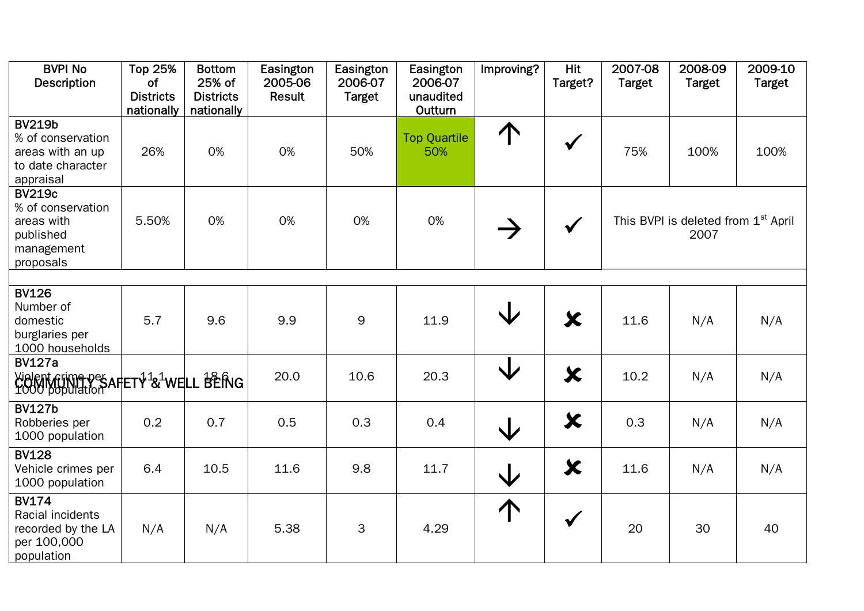| <b>BVPI No</b><br><b>Description</b>                                                     | <b>Top 25%</b><br>of<br><b>Districts</b><br>nationally | <b>Bottom</b><br>25% of<br><b>Districts</b><br>nationally | Easington<br>2005-06<br><b>Result</b> | Easington<br>2006-07<br><b>Target</b> | Easington<br>2006-07<br>unaudited<br>Outturn | Improving?              | <b>Hit</b><br>Target? | 2007-08<br><b>Target</b> | 2008-09<br><b>Target</b>                                | 2009-10<br><b>Target</b> |
|------------------------------------------------------------------------------------------|--------------------------------------------------------|-----------------------------------------------------------|---------------------------------------|---------------------------------------|----------------------------------------------|-------------------------|-----------------------|--------------------------|---------------------------------------------------------|--------------------------|
| <b>BV219b</b><br>% of conservation<br>areas with an up<br>to date character<br>appraisal | 26%                                                    | 0%                                                        | 0%                                    | 50%                                   | <b>Top Quartile</b><br>50%                   | $\uparrow$              | $\checkmark$          | 75%                      | 100%                                                    | 100%                     |
| <b>BV219c</b><br>% of conservation<br>areas with<br>published<br>management<br>proposals | 5.50%                                                  | 0%                                                        | 0%                                    | 0%                                    | 0%                                           |                         | $\checkmark$          |                          | This BVPI is deleted from 1 <sup>st</sup> April<br>2007 |                          |
|                                                                                          |                                                        |                                                           |                                       |                                       |                                              |                         |                       |                          |                                                         |                          |
| <b>BV126</b><br>Number of<br>domestic<br>burglaries per<br>1000 households               | 5.7                                                    | 9.6                                                       | 9.9                                   | 9                                     | 11.9                                         | V                       | $\bm{x}$              | 11.6                     | N/A                                                     | N/A                      |
| <b>BV127a</b><br>Vielent Grime pesartet + 121 well BERIG                                 |                                                        |                                                           | 20.0                                  | 10.6                                  | 20.3                                         | ↓                       | $\bm{x}$              | 10.2                     | N/A                                                     | N/A                      |
| <b>BV127b</b><br>Robberies per<br>1000 population                                        | 0.2                                                    | 0.7                                                       | 0.5                                   | 0.3                                   | 0.4                                          | $\overline{\mathsf{V}}$ | $\bm{x}$              | 0.3                      | N/A                                                     | N/A                      |
| <b>BV128</b><br>Vehicle crimes per<br>1000 population                                    | 6.4                                                    | 10.5                                                      | 11.6                                  | 9.8                                   | 11.7                                         | $\overline{\mathsf{V}}$ | $\bm{x}$              | 11.6                     | N/A                                                     | N/A                      |
| <b>BV174</b><br>Racial incidents<br>recorded by the LA<br>per 100,000<br>population      | N/A                                                    | N/A                                                       | 5.38                                  | 3                                     | 4.29                                         | 个                       | $\checkmark$          | 20                       | 30                                                      | 40                       |